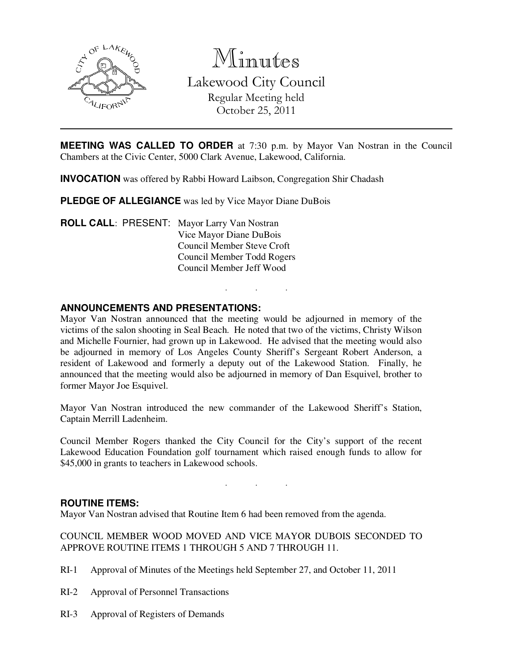

Minutes Lakewood City Council Regular Meeting held October 25, 2011

**MEETING WAS CALLED TO ORDER** at 7:30 p.m. by Mayor Van Nostran in the Council Chambers at the Civic Center, 5000 Clark Avenue, Lakewood, California.

**INVOCATION** was offered by Rabbi Howard Laibson, Congregation Shir Chadash

**PLEDGE OF ALLEGIANCE** was led by Vice Mayor Diane DuBois

**ROLL CALL**: PRESENT: Mayor Larry Van Nostran Vice Mayor Diane DuBois Council Member Steve Croft Council Member Todd Rogers Council Member Jeff Wood

#### **ANNOUNCEMENTS AND PRESENTATIONS:**

Mayor Van Nostran announced that the meeting would be adjourned in memory of the victims of the salon shooting in Seal Beach. He noted that two of the victims, Christy Wilson and Michelle Fournier, had grown up in Lakewood. He advised that the meeting would also be adjourned in memory of Los Angeles County Sheriff's Sergeant Robert Anderson, a resident of Lakewood and formerly a deputy out of the Lakewood Station. Finally, he announced that the meeting would also be adjourned in memory of Dan Esquivel, brother to former Mayor Joe Esquivel.

. . .

Mayor Van Nostran introduced the new commander of the Lakewood Sheriff's Station, Captain Merrill Ladenheim.

Council Member Rogers thanked the City Council for the City's support of the recent Lakewood Education Foundation golf tournament which raised enough funds to allow for \$45,000 in grants to teachers in Lakewood schools.

. . .

#### **ROUTINE ITEMS:**

Mayor Van Nostran advised that Routine Item 6 had been removed from the agenda.

COUNCIL MEMBER WOOD MOVED AND VICE MAYOR DUBOIS SECONDED TO APPROVE ROUTINE ITEMS 1 THROUGH 5 AND 7 THROUGH 11.

- RI-1 Approval of Minutes of the Meetings held September 27, and October 11, 2011
- RI-2 Approval of Personnel Transactions
- RI-3 Approval of Registers of Demands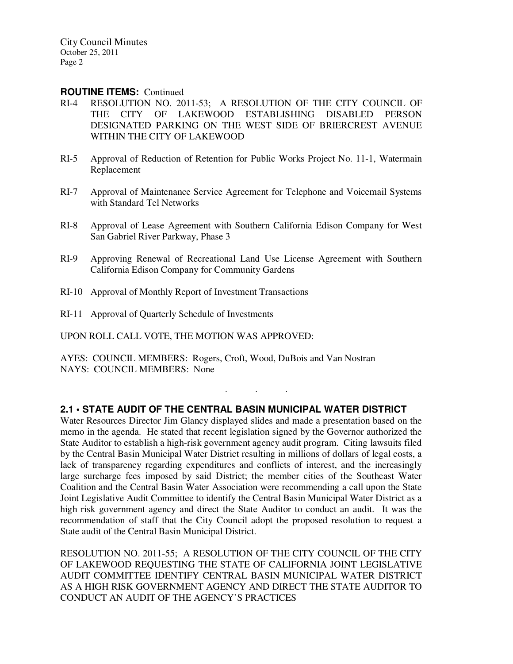#### **ROUTINE ITEMS:** Continued

- RI-4 RESOLUTION NO. 2011-53; A RESOLUTION OF THE CITY COUNCIL OF THE CITY OF LAKEWOOD ESTABLISHING DISABLED PERSON DESIGNATED PARKING ON THE WEST SIDE OF BRIERCREST AVENUE WITHIN THE CITY OF LAKEWOOD
- RI-5 Approval of Reduction of Retention for Public Works Project No. 11-1, Watermain Replacement
- RI-7 Approval of Maintenance Service Agreement for Telephone and Voicemail Systems with Standard Tel Networks
- RI-8 Approval of Lease Agreement with Southern California Edison Company for West San Gabriel River Parkway, Phase 3
- RI-9 Approving Renewal of Recreational Land Use License Agreement with Southern California Edison Company for Community Gardens
- RI-10 Approval of Monthly Report of Investment Transactions
- RI-11 Approval of Quarterly Schedule of Investments

UPON ROLL CALL VOTE, THE MOTION WAS APPROVED:

AYES: COUNCIL MEMBERS: Rogers, Croft, Wood, DuBois and Van Nostran NAYS: COUNCIL MEMBERS: None

## **2.1 • STATE AUDIT OF THE CENTRAL BASIN MUNICIPAL WATER DISTRICT**

. . .

Water Resources Director Jim Glancy displayed slides and made a presentation based on the memo in the agenda. He stated that recent legislation signed by the Governor authorized the State Auditor to establish a high-risk government agency audit program. Citing lawsuits filed by the Central Basin Municipal Water District resulting in millions of dollars of legal costs, a lack of transparency regarding expenditures and conflicts of interest, and the increasingly large surcharge fees imposed by said District; the member cities of the Southeast Water Coalition and the Central Basin Water Association were recommending a call upon the State Joint Legislative Audit Committee to identify the Central Basin Municipal Water District as a high risk government agency and direct the State Auditor to conduct an audit. It was the recommendation of staff that the City Council adopt the proposed resolution to request a State audit of the Central Basin Municipal District.

RESOLUTION NO. 2011-55; A RESOLUTION OF THE CITY COUNCIL OF THE CITY OF LAKEWOOD REQUESTING THE STATE OF CALIFORNIA JOINT LEGISLATIVE AUDIT COMMITTEE IDENTIFY CENTRAL BASIN MUNICIPAL WATER DISTRICT AS A HIGH RISK GOVERNMENT AGENCY AND DIRECT THE STATE AUDITOR TO CONDUCT AN AUDIT OF THE AGENCY'S PRACTICES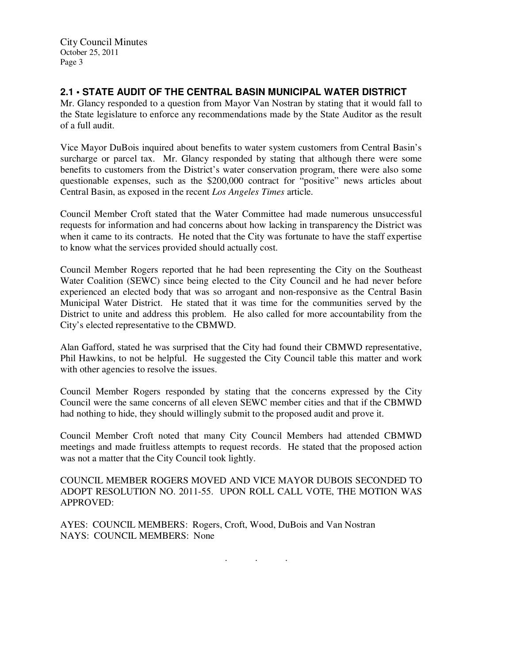# **2.1 • STATE AUDIT OF THE CENTRAL BASIN MUNICIPAL WATER DISTRICT**

Mr. Glancy responded to a question from Mayor Van Nostran by stating that it would fall to the State legislature to enforce any recommendations made by the State Auditor as the result of a full audit.

Vice Mayor DuBois inquired about benefits to water system customers from Central Basin's surcharge or parcel tax. Mr. Glancy responded by stating that although there were some benefits to customers from the District's water conservation program, there were also some questionable expenses, such as the \$200,000 contract for "positive" news articles about Central Basin, as exposed in the recent *Los Angeles Times* article.

Council Member Croft stated that the Water Committee had made numerous unsuccessful requests for information and had concerns about how lacking in transparency the District was when it came to its contracts. He noted that the City was fortunate to have the staff expertise to know what the services provided should actually cost.

Council Member Rogers reported that he had been representing the City on the Southeast Water Coalition (SEWC) since being elected to the City Council and he had never before experienced an elected body that was so arrogant and non-responsive as the Central Basin Municipal Water District. He stated that it was time for the communities served by the District to unite and address this problem. He also called for more accountability from the City's elected representative to the CBMWD.

Alan Gafford, stated he was surprised that the City had found their CBMWD representative, Phil Hawkins, to not be helpful. He suggested the City Council table this matter and work with other agencies to resolve the issues.

Council Member Rogers responded by stating that the concerns expressed by the City Council were the same concerns of all eleven SEWC member cities and that if the CBMWD had nothing to hide, they should willingly submit to the proposed audit and prove it.

Council Member Croft noted that many City Council Members had attended CBMWD meetings and made fruitless attempts to request records. He stated that the proposed action was not a matter that the City Council took lightly.

COUNCIL MEMBER ROGERS MOVED AND VICE MAYOR DUBOIS SECONDED TO ADOPT RESOLUTION NO. 2011-55. UPON ROLL CALL VOTE, THE MOTION WAS APPROVED:

. . .

AYES: COUNCIL MEMBERS: Rogers, Croft, Wood, DuBois and Van Nostran NAYS: COUNCIL MEMBERS: None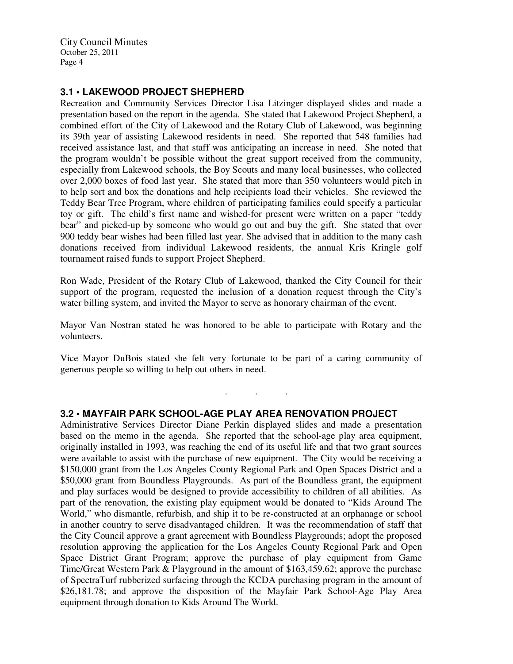## **3.1 • LAKEWOOD PROJECT SHEPHERD**

Recreation and Community Services Director Lisa Litzinger displayed slides and made a presentation based on the report in the agenda. She stated that Lakewood Project Shepherd, a combined effort of the City of Lakewood and the Rotary Club of Lakewood, was beginning its 39th year of assisting Lakewood residents in need. She reported that 548 families had received assistance last, and that staff was anticipating an increase in need. She noted that the program wouldn't be possible without the great support received from the community, especially from Lakewood schools, the Boy Scouts and many local businesses, who collected over 2,000 boxes of food last year. She stated that more than 350 volunteers would pitch in to help sort and box the donations and help recipients load their vehicles. She reviewed the Teddy Bear Tree Program, where children of participating families could specify a particular toy or gift. The child's first name and wished-for present were written on a paper "teddy bear" and picked-up by someone who would go out and buy the gift. She stated that over 900 teddy bear wishes had been filled last year. She advised that in addition to the many cash donations received from individual Lakewood residents, the annual Kris Kringle golf tournament raised funds to support Project Shepherd.

Ron Wade, President of the Rotary Club of Lakewood, thanked the City Council for their support of the program, requested the inclusion of a donation request through the City's water billing system, and invited the Mayor to serve as honorary chairman of the event.

Mayor Van Nostran stated he was honored to be able to participate with Rotary and the volunteers.

Vice Mayor DuBois stated she felt very fortunate to be part of a caring community of generous people so willing to help out others in need.

. . .

### **3.2 • MAYFAIR PARK SCHOOL-AGE PLAY AREA RENOVATION PROJECT**

Administrative Services Director Diane Perkin displayed slides and made a presentation based on the memo in the agenda. She reported that the school-age play area equipment, originally installed in 1993, was reaching the end of its useful life and that two grant sources were available to assist with the purchase of new equipment. The City would be receiving a \$150,000 grant from the Los Angeles County Regional Park and Open Spaces District and a \$50,000 grant from Boundless Playgrounds. As part of the Boundless grant, the equipment and play surfaces would be designed to provide accessibility to children of all abilities. As part of the renovation, the existing play equipment would be donated to "Kids Around The World," who dismantle, refurbish, and ship it to be re-constructed at an orphanage or school in another country to serve disadvantaged children. It was the recommendation of staff that the City Council approve a grant agreement with Boundless Playgrounds; adopt the proposed resolution approving the application for the Los Angeles County Regional Park and Open Space District Grant Program; approve the purchase of play equipment from Game Time/Great Western Park & Playground in the amount of \$163,459.62; approve the purchase of SpectraTurf rubberized surfacing through the KCDA purchasing program in the amount of \$26,181.78; and approve the disposition of the Mayfair Park School-Age Play Area equipment through donation to Kids Around The World.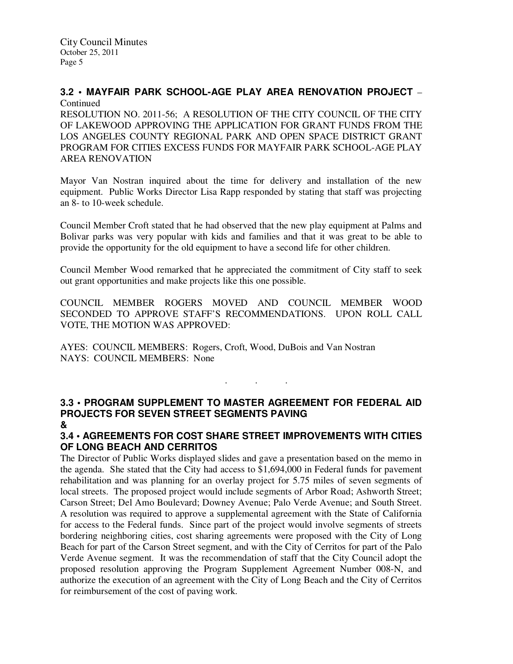#### **3.2 • MAYFAIR PARK SCHOOL-AGE PLAY AREA RENOVATION PROJECT** – Continued

RESOLUTION NO. 2011-56; A RESOLUTION OF THE CITY COUNCIL OF THE CITY OF LAKEWOOD APPROVING THE APPLICATION FOR GRANT FUNDS FROM THE LOS ANGELES COUNTY REGIONAL PARK AND OPEN SPACE DISTRICT GRANT PROGRAM FOR CITIES EXCESS FUNDS FOR MAYFAIR PARK SCHOOL-AGE PLAY AREA RENOVATION

Mayor Van Nostran inquired about the time for delivery and installation of the new equipment. Public Works Director Lisa Rapp responded by stating that staff was projecting an 8- to 10-week schedule.

Council Member Croft stated that he had observed that the new play equipment at Palms and Bolivar parks was very popular with kids and families and that it was great to be able to provide the opportunity for the old equipment to have a second life for other children.

Council Member Wood remarked that he appreciated the commitment of City staff to seek out grant opportunities and make projects like this one possible.

COUNCIL MEMBER ROGERS MOVED AND COUNCIL MEMBER WOOD SECONDED TO APPROVE STAFF'S RECOMMENDATIONS. UPON ROLL CALL VOTE, THE MOTION WAS APPROVED:

AYES: COUNCIL MEMBERS: Rogers, Croft, Wood, DuBois and Van Nostran NAYS: COUNCIL MEMBERS: None

# **3.3 • PROGRAM SUPPLEMENT TO MASTER AGREEMENT FOR FEDERAL AID PROJECTS FOR SEVEN STREET SEGMENTS PAVING**

. . .

# **&**

# **3.4 • AGREEMENTS FOR COST SHARE STREET IMPROVEMENTS WITH CITIES OF LONG BEACH AND CERRITOS**

The Director of Public Works displayed slides and gave a presentation based on the memo in the agenda. She stated that the City had access to \$1,694,000 in Federal funds for pavement rehabilitation and was planning for an overlay project for 5.75 miles of seven segments of local streets. The proposed project would include segments of Arbor Road; Ashworth Street; Carson Street; Del Amo Boulevard; Downey Avenue; Palo Verde Avenue; and South Street. A resolution was required to approve a supplemental agreement with the State of California for access to the Federal funds. Since part of the project would involve segments of streets bordering neighboring cities, cost sharing agreements were proposed with the City of Long Beach for part of the Carson Street segment, and with the City of Cerritos for part of the Palo Verde Avenue segment. It was the recommendation of staff that the City Council adopt the proposed resolution approving the Program Supplement Agreement Number 008-N, and authorize the execution of an agreement with the City of Long Beach and the City of Cerritos for reimbursement of the cost of paving work.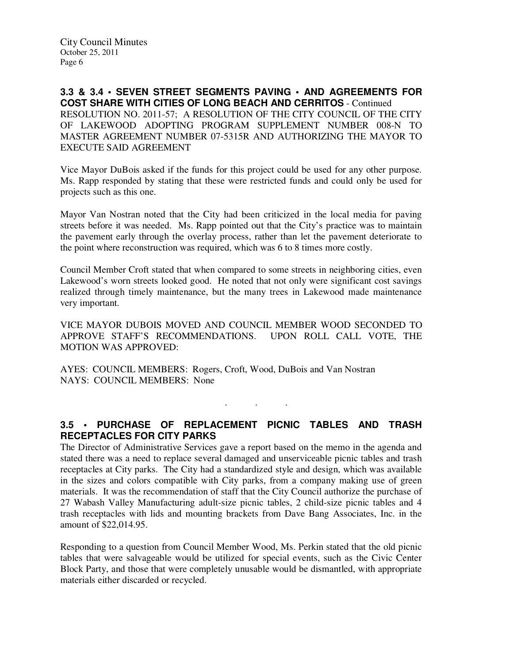**3.3 & 3.4 • SEVEN STREET SEGMENTS PAVING • AND AGREEMENTS FOR COST SHARE WITH CITIES OF LONG BEACH AND CERRITOS** - Continued RESOLUTION NO. 2011-57; A RESOLUTION OF THE CITY COUNCIL OF THE CITY OF LAKEWOOD ADOPTING PROGRAM SUPPLEMENT NUMBER 008-N TO MASTER AGREEMENT NUMBER 07-5315R AND AUTHORIZING THE MAYOR TO EXECUTE SAID AGREEMENT

Vice Mayor DuBois asked if the funds for this project could be used for any other purpose. Ms. Rapp responded by stating that these were restricted funds and could only be used for projects such as this one.

Mayor Van Nostran noted that the City had been criticized in the local media for paving streets before it was needed. Ms. Rapp pointed out that the City's practice was to maintain the pavement early through the overlay process, rather than let the pavement deteriorate to the point where reconstruction was required, which was 6 to 8 times more costly.

Council Member Croft stated that when compared to some streets in neighboring cities, even Lakewood's worn streets looked good. He noted that not only were significant cost savings realized through timely maintenance, but the many trees in Lakewood made maintenance very important.

VICE MAYOR DUBOIS MOVED AND COUNCIL MEMBER WOOD SECONDED TO APPROVE STAFF'S RECOMMENDATIONS. UPON ROLL CALL VOTE, THE MOTION WAS APPROVED:

AYES: COUNCIL MEMBERS: Rogers, Croft, Wood, DuBois and Van Nostran NAYS: COUNCIL MEMBERS: None

**3.5 • PURCHASE OF REPLACEMENT PICNIC TABLES AND TRASH RECEPTACLES FOR CITY PARKS** 

. . .

The Director of Administrative Services gave a report based on the memo in the agenda and stated there was a need to replace several damaged and unserviceable picnic tables and trash receptacles at City parks. The City had a standardized style and design, which was available in the sizes and colors compatible with City parks, from a company making use of green materials. It was the recommendation of staff that the City Council authorize the purchase of 27 Wabash Valley Manufacturing adult-size picnic tables, 2 child-size picnic tables and 4 trash receptacles with lids and mounting brackets from Dave Bang Associates, Inc. in the amount of \$22,014.95.

Responding to a question from Council Member Wood, Ms. Perkin stated that the old picnic tables that were salvageable would be utilized for special events, such as the Civic Center Block Party, and those that were completely unusable would be dismantled, with appropriate materials either discarded or recycled.